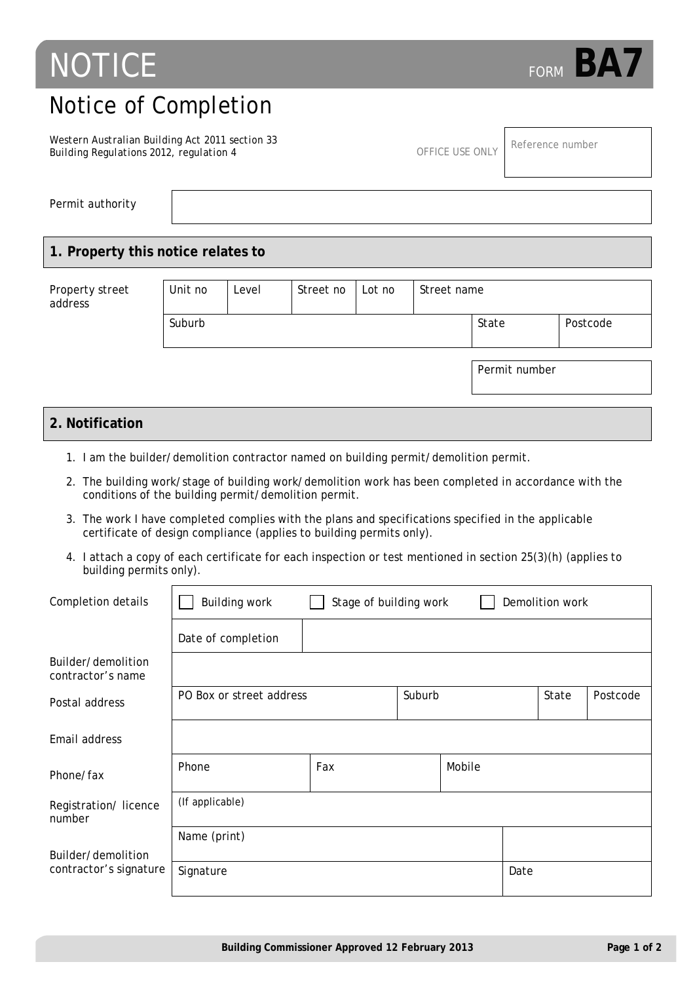## NOTICE FORM **BA**

## Notice of Completion

*Western Australian Building Act 2011 section 33* **Western Australian Building Act 2011 section 33**<br>**Building Regulations 2012, regulation 4 DEFICE USE ONLY** Reference number

Permit authority

## **1. Property this notice relates to**

| Property street<br>address | Unit no | Level | Street no | Lot no | Street name |                   |  |  |
|----------------------------|---------|-------|-----------|--------|-------------|-------------------|--|--|
|                            | Suburb  |       |           |        |             | State<br>Postcode |  |  |
|                            |         |       |           |        |             | Permit number     |  |  |

## **2. Notification**

- 1. I am the builder/demolition contractor named on building permit/demolition permit.
- 2. The building work/stage of building work/demolition work has been completed in accordance with the conditions of the building permit/demolition permit.
- 3. The work I have completed complies with the plans and specifications specified in the applicable certificate of design compliance (applies to building permits only).
- 4. I attach a copy of each certificate for each inspection or test mentioned in section 25(3)(h) (applies to building permits only).

| Completion details                           | <b>Building work</b>     | Stage of building work<br>Demolition work |  |        |      |       |          |  |  |
|----------------------------------------------|--------------------------|-------------------------------------------|--|--------|------|-------|----------|--|--|
|                                              | Date of completion       |                                           |  |        |      |       |          |  |  |
| Builder/demolition<br>contractor's name      |                          |                                           |  |        |      |       |          |  |  |
| Postal address                               | PO Box or street address | Suburb                                    |  |        |      | State | Postcode |  |  |
| Email address                                |                          |                                           |  |        |      |       |          |  |  |
| Phone/fax                                    | Phone                    | Fax                                       |  | Mobile |      |       |          |  |  |
| Registration/ licence<br>number              | (If applicable)          |                                           |  |        |      |       |          |  |  |
|                                              | Name (print)             |                                           |  |        |      |       |          |  |  |
| Builder/demolition<br>contractor's signature |                          |                                           |  |        | Date |       |          |  |  |
|                                              | Signature                |                                           |  |        |      |       |          |  |  |